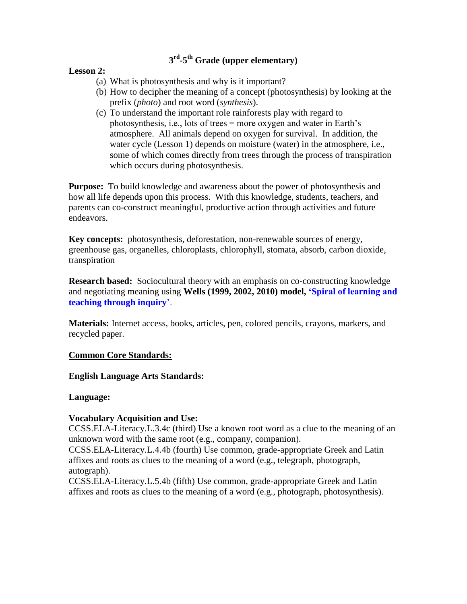# **3 rd -5 th Grade (upper elementary)**

### **Lesson 2:**

- (a) What is photosynthesis and why is it important?
- (b) How to decipher the meaning of a concept (photosynthesis) by looking at the prefix (*photo*) and root word (*synthesis*).
- (c) To understand the important role rainforests play with regard to photosynthesis, i.e., lots of trees = more oxygen and water in Earth's atmosphere. All animals depend on oxygen for survival. In addition, the water cycle (Lesson 1) depends on moisture (water) in the atmosphere, i.e., some of which comes directly from trees through the process of transpiration which occurs during photosynthesis.

**Purpose:** To build knowledge and awareness about the power of photosynthesis and how all life depends upon this process. With this knowledge, students, teachers, and parents can co-construct meaningful, productive action through activities and future endeavors.

**Key concepts:** photosynthesis, deforestation, non-renewable sources of energy, greenhouse gas, organelles, chloroplasts, chlorophyll, stomata, absorb, carbon dioxide, transpiration

**Research based:** Sociocultural theory with an emphasis on co-constructing knowledge and negotiating meaning using **Wells (1999, 2002, 2010) model, "Spiral of learning and teaching through inquiry**'.

**Materials:** Internet access, books, articles, pen, colored pencils, crayons, markers, and recycled paper.

### **Common Core Standards:**

### **English Language Arts Standards:**

### **Language:**

## **Vocabulary Acquisition and Use:**

CCSS.ELA-Literacy.L.3.4c (third) Use a known root word as a clue to the meaning of an unknown word with the same root (e.g., company, companion).

CCSS.ELA-Literacy.L.4.4b (fourth) Use common, grade-appropriate Greek and Latin affixes and roots as clues to the meaning of a word (e.g., telegraph, photograph, autograph).

CCSS.ELA-Literacy.L.5.4b (fifth) Use common, grade-appropriate Greek and Latin affixes and roots as clues to the meaning of a word (e.g., photograph, photosynthesis).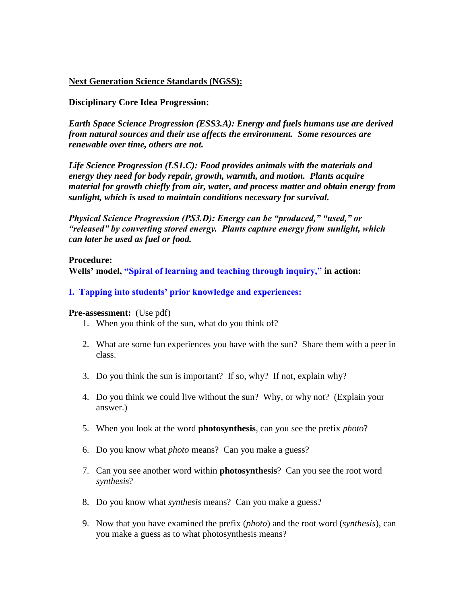## **Next Generation Science Standards (NGSS):**

### **Disciplinary Core Idea Progression:**

*Earth Space Science Progression (ESS3.A): Energy and fuels humans use are derived from natural sources and their use affects the environment. Some resources are renewable over time, others are not.* 

*Life Science Progression (LS1.C): Food provides animals with the materials and energy they need for body repair, growth, warmth, and motion. Plants acquire material for growth chiefly from air, water, and process matter and obtain energy from sunlight, which is used to maintain conditions necessary for survival.* 

*Physical Science Progression (PS3.D): Energy can be "produced," "used," or "released" by converting stored energy. Plants capture energy from sunlight, which can later be used as fuel or food.* 

**Procedure: Wells" model, "Spiral of learning and teaching through inquiry," in action:**

### **I. Tapping into students" prior knowledge and experiences:**

#### **Pre-assessment:** (Use pdf)

- 1. When you think of the sun, what do you think of?
- 2. What are some fun experiences you have with the sun? Share them with a peer in class.
- 3. Do you think the sun is important? If so, why? If not, explain why?
- 4. Do you think we could live without the sun? Why, or why not? (Explain your answer.)
- 5. When you look at the word **photosynthesis**, can you see the prefix *photo*?
- 6. Do you know what *photo* means? Can you make a guess?
- 7. Can you see another word within **photosynthesis**? Can you see the root word *synthesis*?
- 8. Do you know what *synthesis* means? Can you make a guess?
- 9. Now that you have examined the prefix (*photo*) and the root word (*synthesis*), can you make a guess as to what photosynthesis means?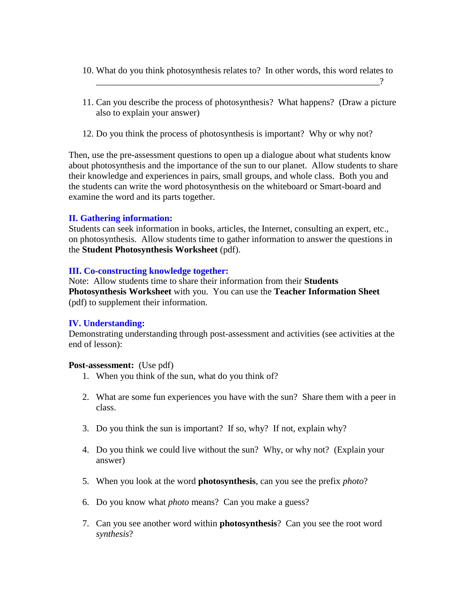- 10. What do you think photosynthesis relates to? In other words, this word relates to \_\_\_\_\_\_\_\_\_\_\_\_\_\_\_\_\_\_\_\_\_\_\_\_\_\_\_\_\_\_\_\_\_\_\_\_\_\_\_\_\_\_\_\_\_\_\_\_\_\_\_\_\_\_\_\_\_\_\_\_\_\_?
- 11. Can you describe the process of photosynthesis? What happens? (Draw a picture also to explain your answer)
- 12. Do you think the process of photosynthesis is important? Why or why not?

Then, use the pre-assessment questions to open up a dialogue about what students know about photosynthesis and the importance of the sun to our planet. Allow students to share their knowledge and experiences in pairs, small groups, and whole class. Both you and the students can write the word photosynthesis on the whiteboard or Smart-board and examine the word and its parts together.

## **II. Gathering information:**

Students can seek information in books, articles, the Internet, consulting an expert, etc., on photosynthesis. Allow students time to gather information to answer the questions in the **Student Photosynthesis Worksheet** (pdf).

## **III. Co-constructing knowledge together:**

Note: Allow students time to share their information from their **Students Photosynthesis Worksheet** with you. You can use the **Teacher Information Sheet** (pdf) to supplement their information.

## **IV. Understanding:**

Demonstrating understanding through post-assessment and activities (see activities at the end of lesson):

### **Post-assessment:** (Use pdf)

- 1. When you think of the sun, what do you think of?
- 2. What are some fun experiences you have with the sun? Share them with a peer in class.
- 3. Do you think the sun is important? If so, why? If not, explain why?
- 4. Do you think we could live without the sun? Why, or why not? (Explain your answer)
- 5. When you look at the word **photosynthesis**, can you see the prefix *photo*?
- 6. Do you know what *photo* means? Can you make a guess?
- 7. Can you see another word within **photosynthesis**? Can you see the root word *synthesis*?